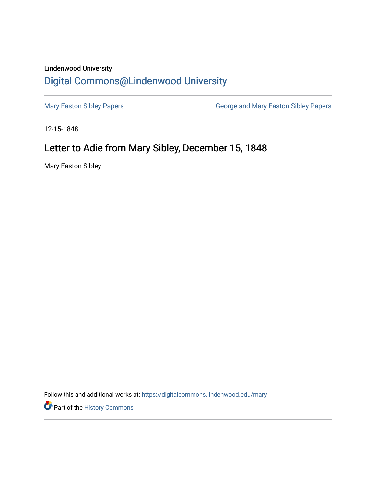## Lindenwood University

## [Digital Commons@Lindenwood University](https://digitalcommons.lindenwood.edu/)

[Mary Easton Sibley Papers](https://digitalcommons.lindenwood.edu/mary) **George and Mary Easton Sibley Papers** George and Mary Easton Sibley Papers

12-15-1848

## Letter to Adie from Mary Sibley, December 15, 1848

Mary Easton Sibley

Follow this and additional works at: [https://digitalcommons.lindenwood.edu/mary](https://digitalcommons.lindenwood.edu/mary?utm_source=digitalcommons.lindenwood.edu%2Fmary%2F22&utm_medium=PDF&utm_campaign=PDFCoverPages) 

**Part of the History Commons**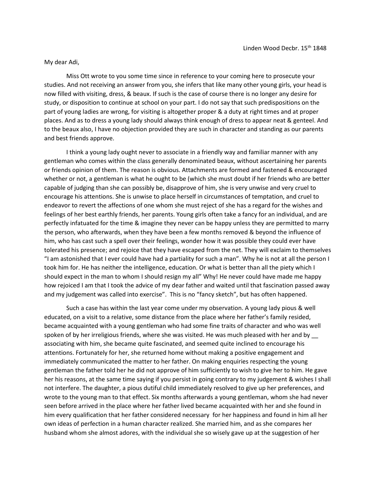## My dear Adi,

Miss Ott wrote to you some time since in reference to your coming here to prosecute your studies. And not receiving an answer from you, she infers that like many other young girls, your head is now filled with visiting, dress, & beaux. If such is the case of course there is no longer any desire for study, or disposition to continue at school on your part. I do not say that such predispositions on the part of young ladies are wrong, for visiting is altogether proper & a duty at right times and at proper places. And as to dress a young lady should always think enough of dress to appear neat & genteel. And to the beaux also, I have no objection provided they are such in character and standing as our parents and best friends approve.

I think a young lady ought never to associate in a friendly way and familiar manner with any gentleman who comes within the class generally denominated beaux, without ascertaining her parents or friends opinion of them. The reason is obvious. Attachments are formed and fastened & encouraged whether or not, a gentleman is what he ought to be (which she must doubt if her friends who are better capable of judging than she can possibly be, disapprove of him, she is very unwise and very cruel to encourage his attentions. She is unwise to place herself in circumstances of temptation, and cruel to endeavor to revert the affections of one whom she must reject of she has a regard for the wishes and feelings of her best earthly friends, her parents. Young girls often take a fancy for an individual, and are perfectly infatuated for the time & imagine they never can be happy unless they are permitted to marry the person, who afterwards, when they have been a few months removed & beyond the influence of him, who has cast such a spell over their feelings, wonder how it was possible they could ever have tolerated his presence; and rejoice that they have escaped from the net. They will exclaim to themselves "I am astonished that I ever could have had a partiality for such a man". Why he is not at all the person I took him for. He has neither the intelligence, education. Or what is better than all the piety which I should expect in the man to whom I should resign my all" Why! He never could have made me happy how rejoiced I am that I took the advice of my dear father and waited until that fascination passed away and my judgement was called into exercise". This is no "fancy sketch", but has often happened.

Such a case has within the last year come under my observation. A young lady pious & well educated, on a visit to a relative, some distance from the place where her father's family resided, became acquainted with a young gentleman who had some fine traits of character and who was well spoken of by her irreligious friends, where she was visited. He was much pleased with her and by \_\_ associating with him, she became quite fascinated, and seemed quite inclined to encourage his attentions. Fortunately for her, she returned home without making a positive engagement and immediately communicated the matter to her father. On making enquiries respecting the young gentleman the father told her he did not approve of him sufficiently to wish to give her to him. He gave her his reasons, at the same time saying if you persist in going contrary to my judgement & wishes I shall not interfere. The daughter, a pious dutiful child immediately resolved to give up her preferences, and wrote to the young man to that effect. Six months afterwards a young gentleman, whom she had never seen before arrived in the place where her father lived became acquainted with her and she found in him every qualification that her father considered necessary for her happiness and found in him all her own ideas of perfection in a human character realized. She married him, and as she compares her husband whom she almost adores, with the individual she so wisely gave up at the suggestion of her